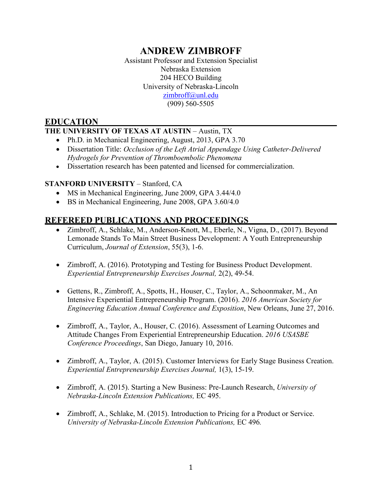# **ANDREW ZIMBROFF**

Assistant Professor and Extension Specialist Nebraska Extension 204 HECO Building University of Nebraska-Lincoln [zimbroff@unl.edu](mailto:zimbroff@unl.edu) (909) 560-5505

# **EDUCATION**

### **THE UNIVERSITY OF TEXAS AT AUSTIN** – Austin, TX

- Ph.D. in Mechanical Engineering, August, 2013, GPA 3.70
- Dissertation Title: *Occlusion of the Left Atrial Appendage Using Catheter-Delivered Hydrogels for Prevention of Thromboembolic Phenomena*
- Dissertation research has been patented and licensed for commercialization.

### **STANFORD UNIVERSITY** – Stanford, CA

- MS in Mechanical Engineering, June 2009, GPA 3.44/4.0
- BS in Mechanical Engineering, June 2008, GPA 3.60/4.0

# **REFEREED PUBLICATIONS AND PROCEEDINGS**

- Zimbroff, A., Schlake, M., Anderson-Knott, M., Eberle, N., Vigna, D., (2017). Beyond Lemonade Stands To Main Street Business Development: A Youth Entrepreneurship Curriculum, *Journal of Extension*, 55(3), 1-6.
- Zimbroff, A. (2016). Prototyping and Testing for Business Product Development. *Experiential Entrepreneurship Exercises Journal,* 2(2), 49-54.
- Gettens, R., Zimbroff, A., Spotts, H., Houser, C., Taylor, A., Schoonmaker, M., An Intensive Experiential Entrepreneurship Program. (2016). *2016 American Society for Engineering Education Annual Conference and Exposition*, New Orleans, June 27, 2016.
- Zimbroff, A., Taylor, A., Houser, C. (2016). Assessment of Learning Outcomes and Attitude Changes From Experiential Entrepreneurship Education. *2016 USASBE Conference Proceedings*, San Diego, January 10, 2016.
- Zimbroff, A., Taylor, A. (2015). Customer Interviews for Early Stage Business Creation. *Experiential Entrepreneurship Exercises Journal,* 1(3), 15-19.
- Zimbroff, A. (2015). Starting a New Business: Pre-Launch Research, *University of Nebraska-Lincoln Extension Publications,* EC 495.
- Zimbroff, A., Schlake, M. (2015). Introduction to Pricing for a Product or Service. *University of Nebraska-Lincoln Extension Publications,* EC 496*.*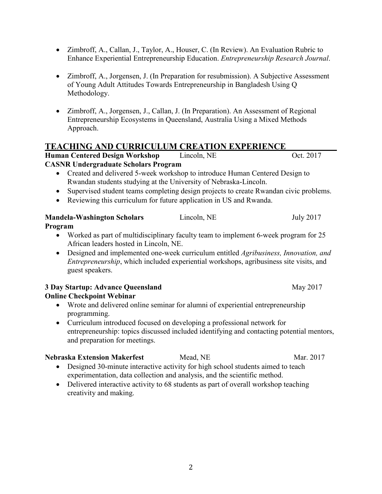- Zimbroff, A., Callan, J., Taylor, A., Houser, C. (In Review). An Evaluation Rubric to Enhance Experiential Entrepreneurship Education. *Entrepreneurship Research Journal*.
- Zimbroff, A., Jorgensen, J. (In Preparation for resubmission). A Subjective Assessment of Young Adult Attitudes Towards Entrepreneurship in Bangladesh Using Q Methodology.
- Zimbroff, A., Jorgensen, J., Callan, J. (In Preparation). An Assessment of Regional Entrepreneurship Ecosystems in Queensland, Australia Using a Mixed Methods Approach.

# **TEACHING AND CURRICULUM CREATION EXPERIENCE**

**Human Centered Design Workshop Lincoln, NE** Oct. 2017 **CASNR Undergraduate Scholars Program**

- Created and delivered 5-week workshop to introduce Human Centered Design to Rwandan students studying at the University of Nebraska-Lincoln.
- Supervised student teams completing design projects to create Rwandan civic problems.
- Reviewing this curriculum for future application in US and Rwanda.

# **Mandela-Washington Scholars Lincoln, NE** July 2017

#### **Program**

- Worked as part of multidisciplinary faculty team to implement 6-week program for 25 African leaders hosted in Lincoln, NE.
- Designed and implemented one-week curriculum entitled *Agribusiness, Innovation, and Entrepreneurship*, which included experiential workshops, agribusiness site visits, and guest speakers.

#### **3 Day Startup: Advance Queensland** May 2017 **Online Checkpoint Webinar**

- Wrote and delivered online seminar for alumni of experiential entrepreneurship programming.
- Curriculum introduced focused on developing a professional network for entrepreneurship: topics discussed included identifying and contacting potential mentors, and preparation for meetings.

# **Nebraska Extension Makerfest** Mead, NE Mar. 2017

- Designed 30-minute interactive activity for high school students aimed to teach experimentation, data collection and analysis, and the scientific method.
- Delivered interactive activity to 68 students as part of overall workshop teaching creativity and making.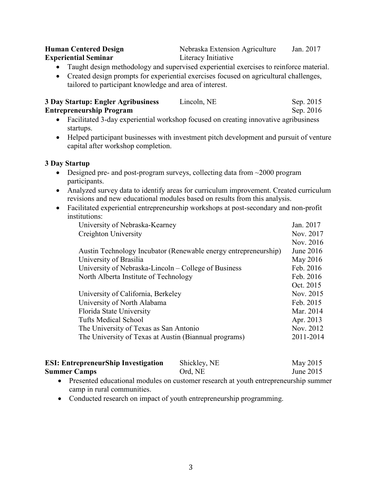| <b>Human Centered Design</b> | Nebraska Extension Agriculture | Jan. 2017 |
|------------------------------|--------------------------------|-----------|
| <b>Experiential Seminar</b>  | Literacy Initiative            |           |

• Taught design methodology and supervised experiential exercises to reinforce material.

• Created design prompts for experiential exercises focused on agricultural challenges, tailored to participant knowledge and area of interest.

| <b>3 Day Startup: Engler Agribusiness</b> | Lincoln, NE | Sep. 2015 |
|-------------------------------------------|-------------|-----------|
| <b>Entrepreneurship Program</b>           |             | Sep. 2016 |

- Facilitated 3-day experiential workshop focused on creating innovative agribusiness startups.
- Helped participant businesses with investment pitch development and pursuit of venture capital after workshop completion.

#### **3 Day Startup**

- Designed pre- and post-program surveys, collecting data from  $\sim$  2000 program participants.
- Analyzed survey data to identify areas for curriculum improvement. Created curriculum revisions and new educational modules based on results from this analysis.
- Facilitated experiential entrepreneurship workshops at post-secondary and non-profit institutions:

| University of Nebraska-Kearney                                  | Jan. 2017 |
|-----------------------------------------------------------------|-----------|
| Creighton University                                            | Nov. 2017 |
|                                                                 | Nov. 2016 |
| Austin Technology Incubator (Renewable energy entrepreneurship) | June 2016 |
| University of Brasilia                                          | May 2016  |
| University of Nebraska-Lincoln – College of Business            | Feb. 2016 |
| North Alberta Institute of Technology                           | Feb. 2016 |
|                                                                 | Oct. 2015 |
| University of California, Berkeley                              | Nov. 2015 |
| University of North Alabama                                     | Feb. 2015 |
| Florida State University                                        | Mar. 2014 |
| <b>Tufts Medical School</b>                                     | Apr. 2013 |
| The University of Texas as San Antonio                          | Nov. 2012 |
| The University of Texas at Austin (Biannual programs)           | 2011-2014 |
|                                                                 |           |

| <b>ESI: EntrepreneurShip Investigation</b> | Shickley, NE | May 2015  |
|--------------------------------------------|--------------|-----------|
| <b>Summer Camps</b>                        | Ord, NE      | June 2015 |

- Presented educational modules on customer research at youth entrepreneurship summer camp in rural communities.
- Conducted research on impact of youth entrepreneurship programming.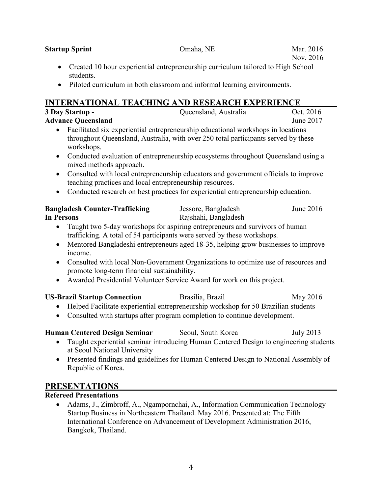• Conducted research on best practices for experiential entrepreneurship education.

| <b>Bangladesh Counter-Trafficking</b> | Jessore, Bangladesh  | June $2016$ |
|---------------------------------------|----------------------|-------------|
| <b>In Persons</b>                     | Rajshahi, Bangladesh |             |

- Taught two 5-day workshops for aspiring entrepreneurs and survivors of human trafficking. A total of 54 participants were served by these workshops.
- Mentored Bangladeshi entrepreneurs aged 18-35, helping grow businesses to improve income.
- Consulted with local Non-Government Organizations to optimize use of resources and promote long-term financial sustainability.
- Awarded Presidential Volunteer Service Award for work on this project.

#### **US-Brazil Startup Connection** Brasilia, Brazil May 2016

- Helped Facilitate experiential entrepreneurship workshop for 50 Brazilian students
- Consulted with startups after program completion to continue development.

# **Human Centered Design Seminar** Seoul, South Korea July 2013

- Taught experiential seminar introducing Human Centered Design to engineering students at Seoul National University
- Presented findings and guidelines for Human Centered Design to National Assembly of Republic of Korea.

#### **PRESENTATIONS**

#### **Refereed Presentations**

• Adams, J., Zimbroff, A., Ngampornchai, A., Information Communication Technology Startup Business in Northeastern Thailand. May 2016. Presented at: The Fifth International Conference on Advancement of Development Administration 2016, Bangkok, Thailand.

4

**Advance Oueensland** June 2017 • Facilitated six experiential entrepreneurship educational workshops in locations

teaching practices and local entrepreneurship resources.

- **INTERNATIONAL TEACHING AND RESEARCH EXPERIENCE**<br>3 Day Startup **Cluensland, Australia** Oct. 2016 **Oueensland, Australia**
- 

throughout Queensland, Australia, with over 250 total participants served by these

• Conducted evaluation of entrepreneurship ecosystems throughout Queensland using a

• Consulted with local entrepreneurship educators and government officials to improve

• Created 10 hour experiential entrepreneurship curriculum tailored to High School students. • Piloted curriculum in both classroom and informal learning environments.

workshops.

mixed methods approach.

Nov. 2016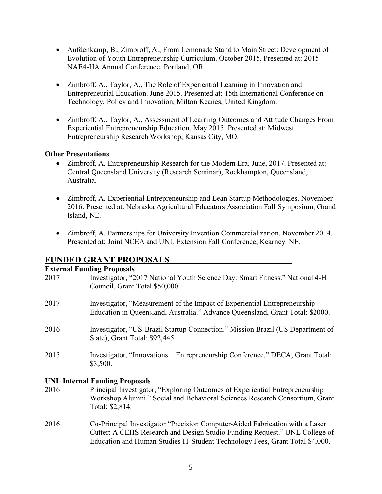- Aufdenkamp, B., Zimbroff, A., From Lemonade Stand to Main Street: Development of Evolution of Youth Entrepreneurship Curriculum. October 2015. Presented at: 2015 NAE4-HA Annual Conference, Portland, OR.
- Zimbroff, A., Taylor, A., The Role of Experiential Learning in Innovation and Entrepreneurial Education. June 2015. Presented at: 15th International Conference on Technology, Policy and Innovation, Milton Keanes, United Kingdom.
- Zimbroff, A., Taylor, A., Assessment of Learning Outcomes and Attitude Changes From Experiential Entrepreneurship Education. May 2015. Presented at: Midwest Entrepreneurship Research Workshop, Kansas City, MO.

#### **Other Presentations**

- Zimbroff, A. Entrepreneurship Research for the Modern Era. June, 2017. Presented at: Central Queensland University (Research Seminar), Rockhampton, Queensland, Australia.
- Zimbroff, A. Experiential Entrepreneurship and Lean Startup Methodologies. November 2016. Presented at: Nebraska Agricultural Educators Association Fall Symposium, Grand Island, NE.
- Zimbroff, A. Partnerships for University Invention Commercialization. November 2014. Presented at: Joint NCEA and UNL Extension Fall Conference, Kearney, NE.

# **FUNDED GRANT PROPOSALS**

### **External Funding Proposals**

|      | <b>EXIGENCE FORGING</b> 110 position                                           |
|------|--------------------------------------------------------------------------------|
| 2017 | Investigator, "2017 National Youth Science Day: Smart Fitness." National 4-H   |
|      | Council, Grant Total \$50,000.                                                 |
| 2017 | Investigator, "Measurement of the Impact of Experiential Entrepreneurship      |
|      | Education in Queensland, Australia." Advance Queensland, Grant Total: \$2000.  |
| 2016 | Investigator, "US-Brazil Startup Connection." Mission Brazil (US Department of |
|      | State), Grant Total: \$92,445.                                                 |
| 2015 | Investigator, "Innovations + Entrepreneurship Conference." DECA, Grant Total:  |
|      | \$3,500.                                                                       |
|      | <b>UNL Internal Funding Proposals</b>                                          |
|      |                                                                                |

- 2016 Principal Investigator, "Exploring Outcomes of Experiential Entrepreneurship Workshop Alumni." Social and Behavioral Sciences Research Consortium, Grant Total: \$2,814.
- 2016 Co-Principal Investigator "Precision Computer-Aided Fabrication with a Laser Cutter: A CEHS Research and Design Studio Funding Request." UNL College of Education and Human Studies IT Student Technology Fees, Grant Total \$4,000.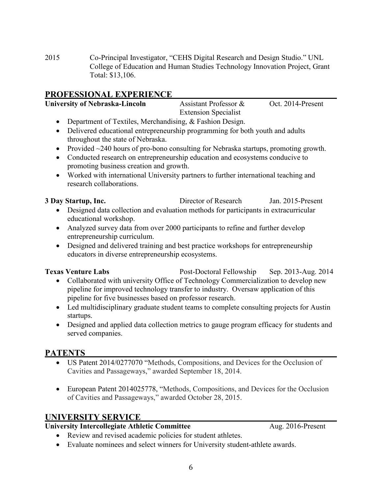2015 Co-Principal Investigator, "CEHS Digital Research and Design Studio." UNL College of Education and Human Studies Technology Innovation Project, Grant Total: \$13,106.

# **PROFESSIONAL EXPERIENCE**

| <b>University of Nebraska-Lincoln</b>                                                       | Assistant Professor &       | Oct. 2014-Present |
|---------------------------------------------------------------------------------------------|-----------------------------|-------------------|
|                                                                                             | <b>Extension Specialist</b> |                   |
| Department of Textiles, Merchandising, & Fashion Design.                                    |                             |                   |
| • Delivered educational entrepreneurship programming for both youth and adults              |                             |                   |
| throughout the state of Nebraska.                                                           |                             |                   |
| • Provided $\sim$ 240 hours of pro-bono consulting for Nebraska startups, promoting growth. |                             |                   |
| • Conducted research on entrepreneurship education and ecosystems conducive to              |                             |                   |
| promoting business creation and growth.                                                     |                             |                   |
|                                                                                             |                             |                   |

• Worked with international University partners to further international teaching and research collaborations.

**3 Day Startup, Inc.** Director of Research Jan. 2015-Present

- Designed data collection and evaluation methods for participants in extracurricular educational workshop.
- Analyzed survey data from over 2000 participants to refine and further develop entrepreneurship curriculum.
- Designed and delivered training and best practice workshops for entrepreneurship educators in diverse entrepreneurship ecosystems.

**Texas Venture Labs** Post-Doctoral Fellowship Sep. 2013-Aug. 2014 • Collaborated with university Office of Technology Commercialization to develop new pipeline for improved technology transfer to industry. Oversaw application of this

- pipeline for five businesses based on professor research. • Led multidisciplinary graduate student teams to complete consulting projects for Austin
- startups. • Designed and applied data collection metrics to gauge program efficacy for students and served companies.

# **PATENTS**

- US Patent 2014/0277070 "Methods, Compositions, and Devices for the Occlusion of Cavities and Passageways," awarded September 18, 2014.
- European Patent 2014025778, "Methods, Compositions, and Devices for the Occlusion of Cavities and Passageways," awarded October 28, 2015.

# **UNIVERSITY SERVICE**

# **University Intercollegiate Athletic Committee** Aug. 2016-Present

- Review and revised academic policies for student athletes.
- Evaluate nominees and select winners for University student-athlete awards.